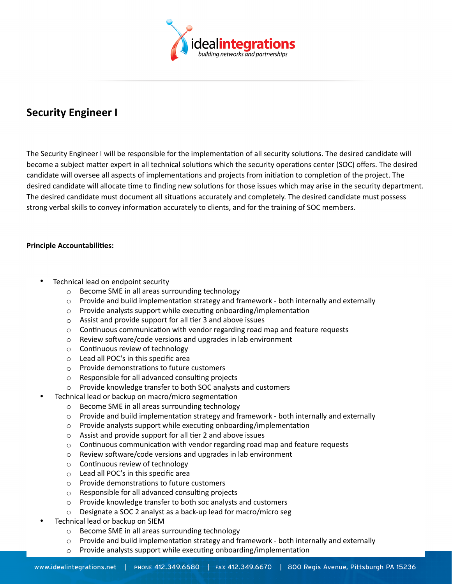

# **Security Engineer I**

The Security Engineer I will be responsible for the implementation of all security solutions. The desired candidate will become a subject matter expert in all technical solutions which the security operations center (SOC) offers. The desired candidate will oversee all aspects of implementations and projects from initiation to completion of the project. The desired candidate will allocate time to finding new solutions for those issues which may arise in the security department. The desired candidate must document all situations accurately and completely. The desired candidate must possess strong verbal skills to convey information accurately to clients, and for the training of SOC members.

## **Principle Accountabilities:**

- Technical lead on endpoint security
	- o Become SME in all areas surrounding technology
	- $\circ$  Provide and build implementation strategy and framework both internally and externally
	- $\circ$  Provide analysts support while executing onboarding/implementation
	- o Assist and provide support for all tier 3 and above issues
	- $\circ$  Continuous communication with vendor regarding road map and feature requests
	- o Review software/code versions and upgrades in lab environment
	- o Continuous review of technology
	- o Lead all POC's in this specific area
	- o Provide demonstrations to future customers
	- o Responsible for all advanced consulting projects
	- o Provide knowledge transfer to both SOC analysts and customers
- Technical lead or backup on macro/micro segmentation
	- o Become SME in all areas surrounding technology
	- $\circ$  Provide and build implementation strategy and framework both internally and externally
	- o Provide analysts support while executing onboarding/implementation
	- o Assist and provide support for all tier 2 and above issues
	- $\circ$  Continuous communication with vendor regarding road map and feature requests
	- o Review software/code versions and upgrades in lab environment
	- o Continuous review of technology
	- o Lead all POC's in this specific area
	- o Provide demonstrations to future customers
	- o Responsible for all advanced consulting projects
	- o Provide knowledge transfer to both soc analysts and customers
	- o Designate a SOC 2 analyst as a back-up lead for macro/micro seg
- Technical lead or backup on SIEM
	- o Become SME in all areas surrounding technology
	- $\circ$  Provide and build implementation strategy and framework both internally and externally
	- o Provide analysts support while executing onboarding/implementation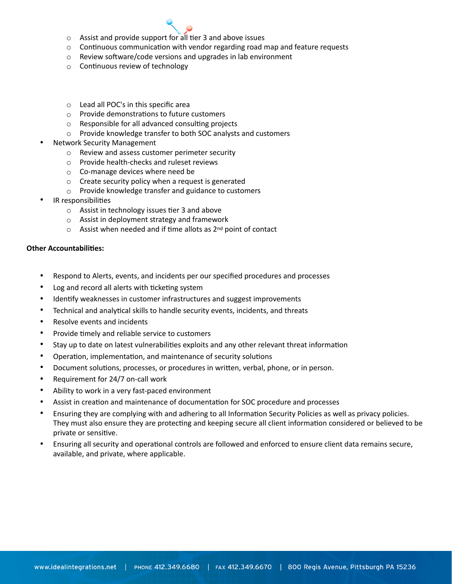

- o Assist and provide support for all tier 3 and above issues
- o Continuous communication with vendor regarding road map and feature requests
- o Review software/code versions and upgrades in lab environment
- o Continuous review of technology
- o Lead all POC's in this specific area
- o Provide demonstrations to future customers
- o Responsible for all advanced consulting projects
- o Provide knowledge transfer to both SOC analysts and customers
- Network Security Management
	- o Review and assess customer perimeter security
	- o Provide health-checks and ruleset reviews
	- o Co-manage devices where need be
	- o Create security policy when a request is generated
	- o Provide knowledge transfer and guidance to customers
- IR responsibilities
	- o Assist in technology issues tier 3 and above
	- o Assist in deployment strategy and framework
	- $\circ$  Assist when needed and if time allots as  $2^{nd}$  point of contact

#### **Other Accountabilities:**

- Respond to Alerts, events, and incidents per our specified procedures and processes
- Log and record all alerts with ticketing system
- Identify weaknesses in customer infrastructures and suggest improvements
- Technical and analytical skills to handle security events, incidents, and threats
- Resolve events and incidents
- Provide timely and reliable service to customers
- Stay up to date on latest vulnerabilities exploits and any other relevant threat information
- Operation, implementation, and maintenance of security solutions
- Document solutions, processes, or procedures in written, verbal, phone, or in person.
- Requirement for 24/7 on-call work
- Ability to work in a very fast-paced environment
- Assist in creation and maintenance of documentation for SOC procedure and processes
- Ensuring they are complying with and adhering to all Information Security Policies as well as privacy policies. They must also ensure they are protecting and keeping secure all client information considered or believed to be private or sensitive.
- Ensuring all security and operational controls are followed and enforced to ensure client data remains secure, available, and private, where applicable.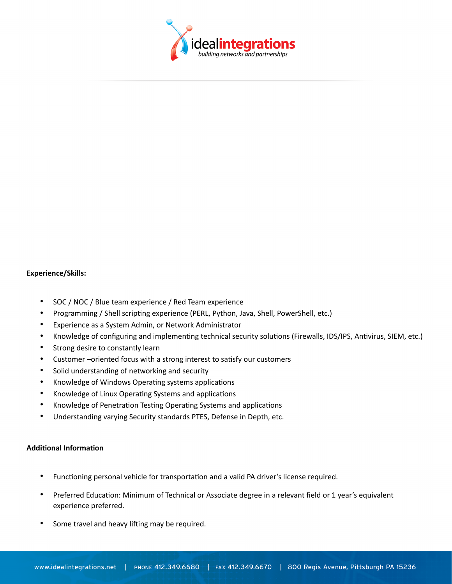

### **Experience/Skills:**

- SOC / NOC / Blue team experience / Red Team experience
- Programming / Shell scripting experience (PERL, Python, Java, Shell, PowerShell, etc.)
- Experience as a System Admin, or Network Administrator
- Knowledge of configuring and implementing technical security solutions (Firewalls, IDS/IPS, Antivirus, SIEM, etc.)
- Strong desire to constantly learn
- Customer –oriented focus with a strong interest to satisfy our customers
- Solid understanding of networking and security
- Knowledge of Windows Operating systems applications
- Knowledge of Linux Operating Systems and applications
- Knowledge of Penetration Testing Operating Systems and applications
- Understanding varying Security standards PTES, Defense in Depth, etc.

#### **Additional Information**

- Functioning personal vehicle for transportation and a valid PA driver's license required.
- Preferred Education: Minimum of Technical or Associate degree in a relevant field or 1 year's equivalent experience preferred.
- Some travel and heavy lifting may be required.